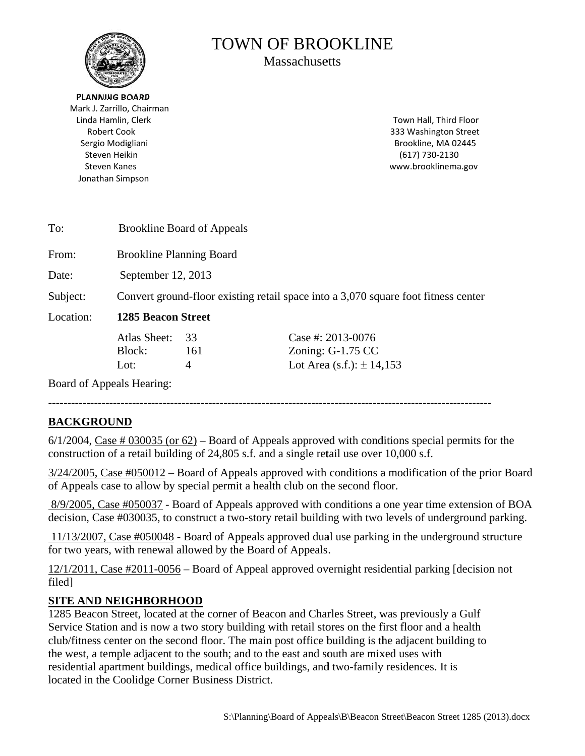

# **TOWN OF BROOKLINE**

**Massachusetts** 

**PLANNING BOARD** Mark J. Zarrillo, Chairman Linda Hamlin, Clerk **Robert Cook** Sergio Modigliani Steven Heikin **Steven Kanes** Jonathan Simpson

Town Hall, Third Floor 333 Washington Street Brookline, MA 02445  $(617)$  730-2130 www.brooklinema.gov

| To:       | <b>Brookline Board of Appeals</b>                                                  |     |                               |
|-----------|------------------------------------------------------------------------------------|-----|-------------------------------|
| From:     | <b>Brookline Planning Board</b>                                                    |     |                               |
| Date:     | September 12, 2013                                                                 |     |                               |
| Subject:  | Convert ground-floor existing retail space into a 3,070 square foot fitness center |     |                               |
| Location: | <b>1285 Beacon Street</b>                                                          |     |                               |
|           | Atlas Sheet:                                                                       | 33  | Case #: 2013-0076             |
|           | Block:                                                                             | 161 | Zoning: $G-1.75$ CC           |
|           | Lot:                                                                               | 4   | Lot Area (s.f.): $\pm$ 14,153 |

Board of Appeals Hearing:

# **BACKGROUND**

 $6/1/2004$ , Case # 030035 (or  $62$ ) – Board of Appeals approved with conditions special permits for the construction of a retail building of 24,805 s.f. and a single retail use over 10,000 s.f.

 $3/24/2005$ , Case #050012 – Board of Appeals approved with conditions a modification of the prior Board of Appeals case to allow by special permit a health club on the second floor.

8/9/2005, Case #050037 - Board of Appeals approved with conditions a one year time extension of BOA decision, Case #030035, to construct a two-story retail building with two levels of underground parking.

11/13/2007, Case #050048 - Board of Appeals approved dual use parking in the underground structure for two years, with renewal allowed by the Board of Appeals.

 $12/1/2011$ , Case #2011-0056 – Board of Appeal approved overnight residential parking [decision not filed]

# **SITE AND NEIGHBORHOOD**

1285 Beacon Street, located at the corner of Beacon and Charles Street, was previously a Gulf Service Station and is now a two story building with retail stores on the first floor and a health club/fitness center on the second floor. The main post office building is the adjacent building to the west, a temple adjacent to the south; and to the east and south are mixed uses with residential apartment buildings, medical office buildings, and two-family residences. It is located in the Coolidge Corner Business District.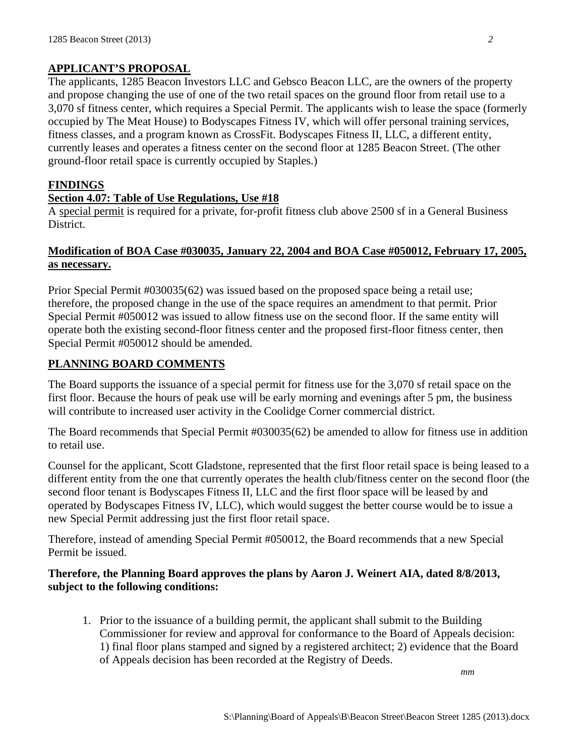# **APPLICANT'S PROPOSAL**

The applicants, 1285 Beacon Investors LLC and Gebsco Beacon LLC, are the owners of the property and propose changing the use of one of the two retail spaces on the ground floor from retail use to a 3,070 sf fitness center, which requires a Special Permit. The applicants wish to lease the space (formerly occupied by The Meat House) to Bodyscapes Fitness IV, which will offer personal training services, fitness classes, and a program known as CrossFit. Bodyscapes Fitness II, LLC, a different entity, currently leases and operates a fitness center on the second floor at 1285 Beacon Street. (The other ground-floor retail space is currently occupied by Staples.)

#### **FINDINGS**

#### **Section 4.07: Table of Use Regulations, Use #18**

A special permit is required for a private, for-profit fitness club above 2500 sf in a General Business District.

# **Modification of BOA Case #030035, January 22, 2004 and BOA Case #050012, February 17, 2005, as necessary.**

Prior Special Permit #030035(62) was issued based on the proposed space being a retail use; therefore, the proposed change in the use of the space requires an amendment to that permit. Prior Special Permit #050012 was issued to allow fitness use on the second floor. If the same entity will operate both the existing second-floor fitness center and the proposed first-floor fitness center, then Special Permit #050012 should be amended.

# **PLANNING BOARD COMMENTS**

The Board supports the issuance of a special permit for fitness use for the 3,070 sf retail space on the first floor. Because the hours of peak use will be early morning and evenings after 5 pm, the business will contribute to increased user activity in the Coolidge Corner commercial district.

The Board recommends that Special Permit #030035(62) be amended to allow for fitness use in addition to retail use.

Counsel for the applicant, Scott Gladstone, represented that the first floor retail space is being leased to a different entity from the one that currently operates the health club/fitness center on the second floor (the second floor tenant is Bodyscapes Fitness II, LLC and the first floor space will be leased by and operated by Bodyscapes Fitness IV, LLC), which would suggest the better course would be to issue a new Special Permit addressing just the first floor retail space.

Therefore, instead of amending Special Permit #050012, the Board recommends that a new Special Permit be issued.

# **Therefore, the Planning Board approves the plans by Aaron J. Weinert AIA, dated 8/8/2013, subject to the following conditions:**

1. Prior to the issuance of a building permit, the applicant shall submit to the Building Commissioner for review and approval for conformance to the Board of Appeals decision: 1) final floor plans stamped and signed by a registered architect; 2) evidence that the Board of Appeals decision has been recorded at the Registry of Deeds.

*mm*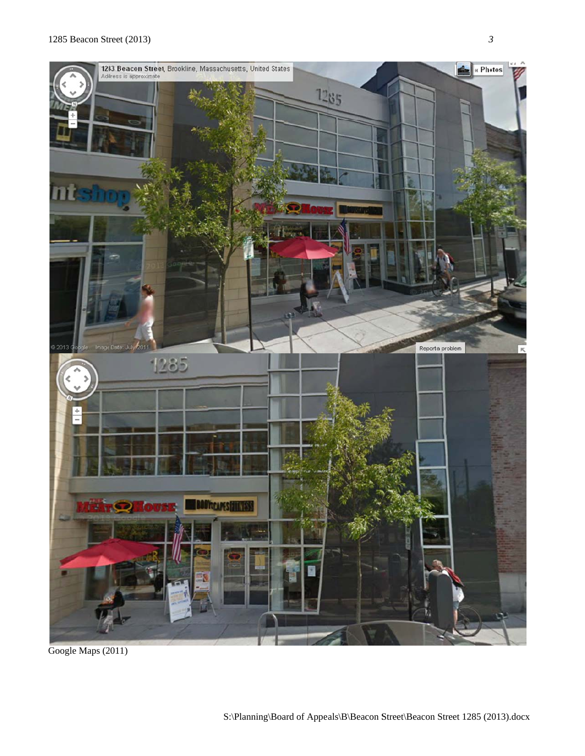

G oogle Maps (2 011)